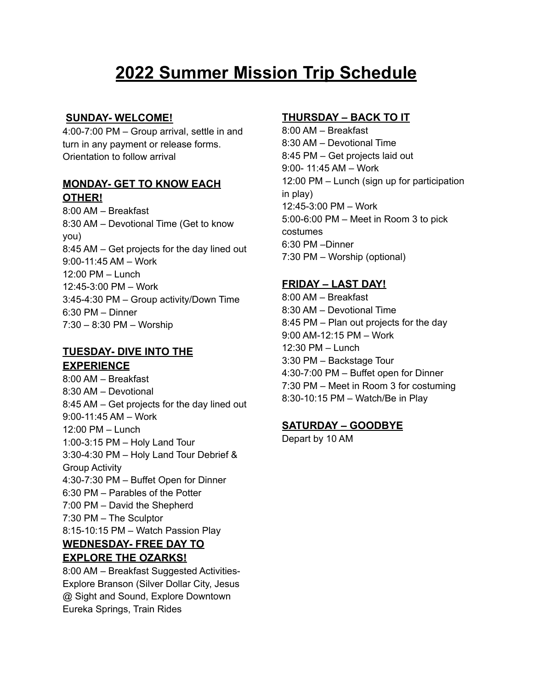# **2022 Summer Mission Trip Schedule**

## **SUNDAY- WELCOME!**

4:00-7:00 PM – Group arrival, settle in and turn in any payment or release forms. Orientation to follow arrival

#### **MONDAY- GET TO KNOW EACH OTHER!**

8:00 AM – Breakfast 8:30 AM – Devotional Time (Get to know you) 8:45 AM – Get projects for the day lined out 9:00-11:45 AM – Work 12:00 PM – Lunch 12:45-3:00 PM – Work 3:45-4:30 PM – Group activity/Down Time 6:30 PM – Dinner 7:30 – 8:30 PM – Worship

## **TUESDAY- DIVE INTO THE EXPERIENCE**

8:00 AM – Breakfast 8:30 AM – Devotional 8:45 AM – Get projects for the day lined out 9:00-11:45 AM – Work 12:00 PM – Lunch 1:00-3:15 PM – Holy Land Tour 3:30-4:30 PM – Holy Land Tour Debrief & Group Activity 4:30-7:30 PM – Buffet Open for Dinner 6:30 PM – Parables of the Potter 7:00 PM – David the Shepherd 7:30 PM – The Sculptor 8:15-10:15 PM – Watch Passion Play **WEDNESDAY- FREE DAY TO EXPLORE THE OZARKS!** 8:00 AM – Breakfast Suggested Activities-

Explore Branson (Silver Dollar City, Jesus @ Sight and Sound, Explore Downtown Eureka Springs, Train Rides

## **THURSDAY – BACK TO IT**

8:00 AM – Breakfast 8:30 AM – Devotional Time 8:45 PM – Get projects laid out 9:00- 11:45 AM – Work 12:00 PM – Lunch (sign up for participation in play) 12:45-3:00 PM – Work 5:00-6:00 PM – Meet in Room 3 to pick costumes 6:30 PM –Dinner 7:30 PM – Worship (optional)

## **FRIDAY – LAST DAY!**

8:00 AM – Breakfast 8:30 AM – Devotional Time 8:45 PM – Plan out projects for the day 9:00 AM-12:15 PM – Work 12:30 PM – Lunch 3:30 PM – Backstage Tour 4:30-7:00 PM – Buffet open for Dinner 7:30 PM – Meet in Room 3 for costuming 8:30-10:15 PM – Watch/Be in Play

## **SATURDAY – GOODBYE**

Depart by 10 AM